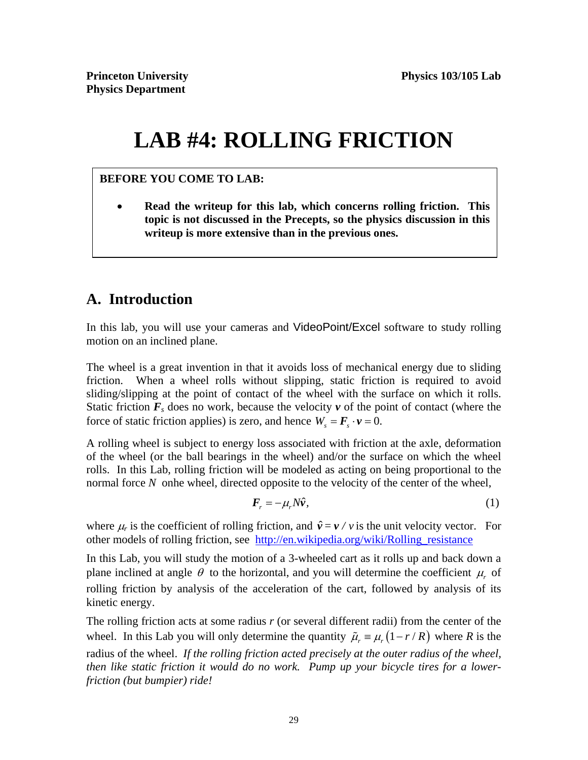# **LAB #4: ROLLING FRICTION**

#### **BEFORE YOU COME TO LAB:**

 **Read the writeup for this lab, which concerns rolling friction. This topic is not discussed in the Precepts, so the physics discussion in this writeup is more extensive than in the previous ones.** 

# **A. Introduction**

In this lab, you will use your cameras and VideoPoint/Excel software to study rolling motion on an inclined plane.

The wheel is a great invention in that it avoids loss of mechanical energy due to sliding friction. When a wheel rolls without slipping, static friction is required to avoid sliding/slipping at the point of contact of the wheel with the surface on which it rolls. Static friction  $\mathbf{F}_s$  does no work, because the velocity  $\mathbf{v}$  of the point of contact (where the force of static friction applies) is zero, and hence  $W_s = \mathbf{F}_s \cdot \mathbf{v} = 0$ .

A rolling wheel is subject to energy loss associated with friction at the axle, deformation of the wheel (or the ball bearings in the wheel) and/or the surface on which the wheel rolls. In this Lab, rolling friction will be modeled as acting on being proportional to the normal force N onhe wheel, directed opposite to the velocity of the center of the wheel,

$$
\boldsymbol{F}_r = -\mu_r N \hat{\boldsymbol{v}},\tag{1}
$$

where  $\mu_r$  is the coefficient of rolling friction, and  $\hat{v} = v / v$  is the unit velocity vector. For other models of rolling friction, see http://en.wikipedia.org/wiki/Rolling\_resistance

In this Lab, you will study the motion of a 3-wheeled cart as it rolls up and back down a plane inclined at angle  $\theta$  to the horizontal, and you will determine the coefficient  $\mu$  of rolling friction by analysis of the acceleration of the cart, followed by analysis of its kinetic energy.

The rolling friction acts at some radius *r* (or several different radii) from the center of the wheel. In this Lab you will only determine the quantity  $\tilde{\mu}_r = \mu_r (1 - r / R)$  where R is the radius of the wheel. *If the rolling friction acted precisely at the outer radius of the wheel, then like static friction it would do no work. Pump up your bicycle tires for a lowerfriction (but bumpier) ride!*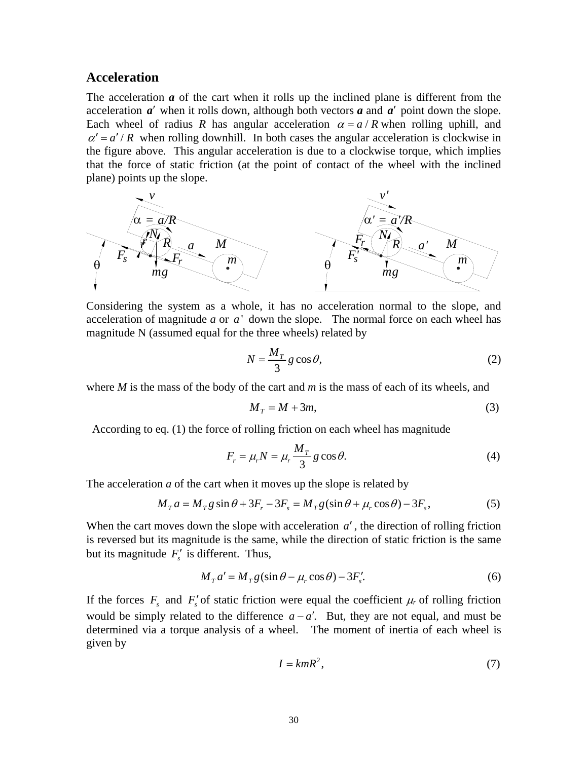#### **Acceleration**

The acceleration *a* of the cart when it rolls up the inclined plane is different from the acceleration  $a'$  when it rolls down, although both vectors  $a$  and  $a'$  point down the slope. Each wheel of radius *R* has angular acceleration  $\alpha = a/R$  when rolling uphill, and  $\alpha' = a'/R$  when rolling downhill. In both cases the angular acceleration is clockwise in the figure above. This angular acceleration is due to a clockwise torque, which implies that the force of static friction (at the point of contact of the wheel with the inclined plane) points up the slope.



Considering the system as a whole, it has no acceleration normal to the slope, and acceleration of magnitude *a* or *a* ' down the slope. The normal force on each wheel has magnitude N (assumed equal for the three wheels) related by

$$
N = \frac{M_T}{3} g \cos \theta,\tag{2}
$$

where *M* is the mass of the body of the cart and *m* is the mass of each of its wheels, and

$$
M_T = M + 3m,\t\t(3)
$$

According to eq. (1) the force of rolling friction on each wheel has magnitude

$$
F_r = \mu_r N = \mu_r \frac{M_T}{3} g \cos \theta.
$$
 (4)

The acceleration *a* of the cart when it moves up the slope is related by

$$
MTa = MTg\sin\theta + 3Fr - 3Fs = MTg(\sin\theta + \mur\cos\theta) - 3Fs,
$$
\n(5)

When the cart moves down the slope with acceleration *a'*, the direction of rolling friction is reversed but its magnitude is the same, while the direction of static friction is the same but its magnitude  $F'_{s}$  is different. Thus,

$$
M_T a' = M_T g(\sin \theta - \mu_r \cos \theta) - 3F'_s.
$$
 (6)

If the forces  $F_s$  and  $F'_s$  of static friction were equal the coefficient  $\mu_r$  of rolling friction would be simply related to the difference  $a - a'$ . But, they are not equal, and must be determined via a torque analysis of a wheel. The moment of inertia of each wheel is given by

$$
I = kmR^2,\tag{7}
$$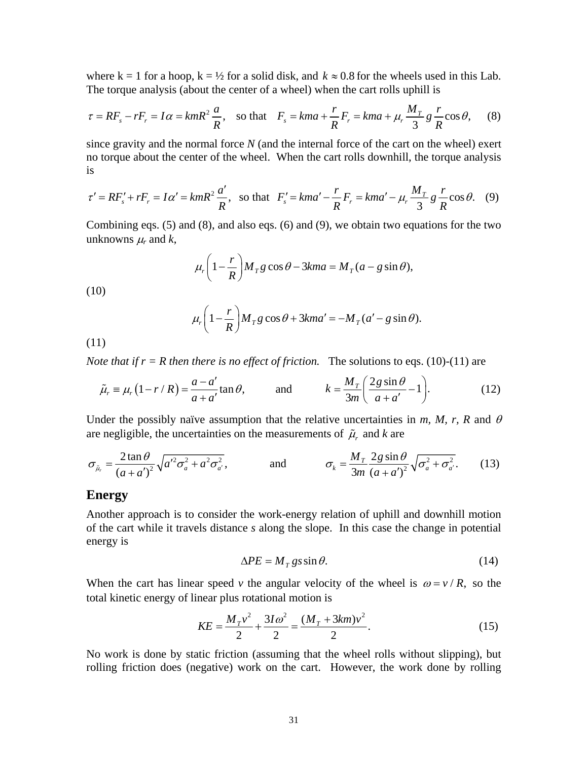where  $k = 1$  for a hoop,  $k = \frac{1}{2}$  for a solid disk, and  $k \approx 0.8$  for the wheels used in this Lab. The torque analysis (about the center of a wheel) when the cart rolls uphill is

$$
\tau = RF_s - rF_r = I\alpha = kmR^2 \frac{a}{R}, \text{ so that } F_s = kma + \frac{r}{R}F_r = kma + \mu_r \frac{M_T}{3} g \frac{r}{R} \cos \theta, \quad (8)
$$

since gravity and the normal force *N* (and the internal force of the cart on the wheel) exert no torque about the center of the wheel. When the cart rolls downhill, the torque analysis is

$$
\tau' = RF'_s + rF_r = I\alpha' = kmR^2 \frac{a'}{R}, \text{ so that } F'_s = kma' - \frac{r}{R}F_r = kma' - \mu_r \frac{M_T}{3}g\frac{r}{R}\cos\theta. \quad (9)
$$

Combining eqs. (5) and (8), and also eqs. (6) and (9), we obtain two equations for the two unknowns  $\mu_r$  and *k*,

$$
\mu_r \left(1 - \frac{r}{R}\right) M_T g \cos \theta - 3k m a = M_T (a - g \sin \theta),
$$

(10)

$$
\mu_r \left(1 - \frac{r}{R}\right) M_T g \cos \theta + 3k m a' = -M_T (a' - g \sin \theta).
$$

(11)

*Note that if*  $r = R$  *then there is no effect of friction.* The solutions to eqs. (10)-(11) are

$$
\tilde{\mu}_r \equiv \mu_r (1 - r/R) = \frac{a - a'}{a + a'} \tan \theta, \qquad \text{and} \qquad k = \frac{M_r}{3m} \left( \frac{2g \sin \theta}{a + a'} - 1 \right). \tag{12}
$$

Under the possibly naïve assumption that the relative uncertainties in  $m$ ,  $M$ ,  $r$ ,  $R$  and  $\theta$ are negligible, the uncertainties on the measurements of  $\tilde{\mu}$ , and *k* are

$$
\sigma_{\tilde{\mu}_r} = \frac{2 \tan \theta}{\left(a + a'\right)^2} \sqrt{a'^2 \sigma_a^2 + a^2 \sigma_{a'}^2}, \qquad \text{and} \qquad \sigma_k = \frac{M_r}{3m} \frac{2 g \sin \theta}{\left(a + a'\right)^2} \sqrt{\sigma_a^2 + \sigma_{a'}^2}.
$$
 (13)

#### **Energy**

Another approach is to consider the work-energy relation of uphill and downhill motion of the cart while it travels distance *s* along the slope. In this case the change in potential energy is

$$
\Delta PE = M_T g s \sin \theta. \tag{14}
$$

When the cart has linear speed *v* the angular velocity of the wheel is  $\omega = v / R$ , so the total kinetic energy of linear plus rotational motion is

$$
KE = \frac{M_T v^2}{2} + \frac{3I\omega^2}{2} = \frac{(M_T + 3km)v^2}{2}.
$$
 (15)

No work is done by static friction (assuming that the wheel rolls without slipping), but rolling friction does (negative) work on the cart. However, the work done by rolling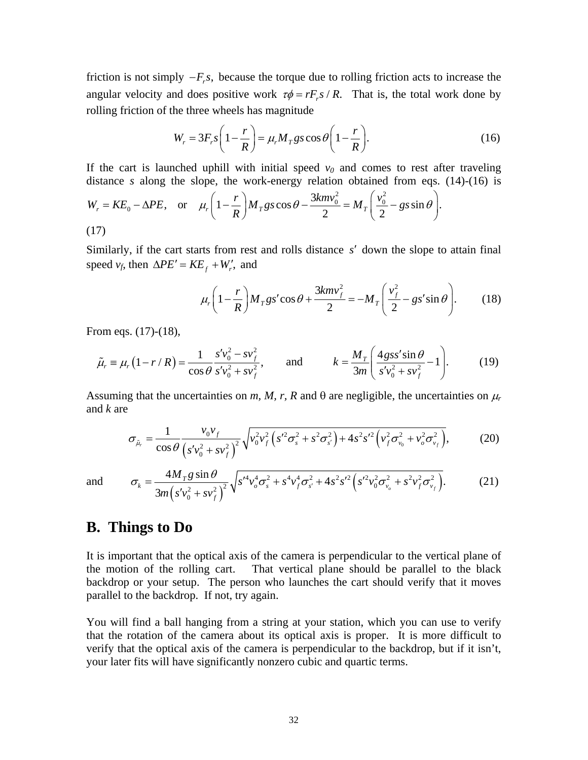friction is not simply  $-F_r$ , because the torque due to rolling friction acts to increase the angular velocity and does positive work  $\tau \phi = rF_r s / R$ . That is, the total work done by rolling friction of the three wheels has magnitude

$$
W_r = 3F_r s \left(1 - \frac{r}{R}\right) = \mu_r M_T g s \cos \theta \left(1 - \frac{r}{R}\right).
$$
 (16)

If the cart is launched uphill with initial speed  $v_0$  and comes to rest after traveling distance *s* along the slope, the work-energy relation obtained from eqs. (14)-(16) is  $2^2$ 

$$
W_r = KE_0 - \Delta PE, \quad \text{or} \quad \mu_r \left( 1 - \frac{r}{R} \right) M_T g s \cos \theta - \frac{3kmv_0^2}{2} = M_T \left( \frac{v_0^2}{2} - gs \sin \theta \right).
$$
\n(17)

Similarly, if the cart starts from rest and rolls distance *s'* down the slope to attain final speed  $v_f$ , then  $\Delta PE' = KE_f + W'_r$ , and

$$
\mu_r \left( 1 - \frac{r}{R} \right) M_T g s' \cos \theta + \frac{3km v_f^2}{2} = -M_T \left( \frac{v_f^2}{2} - g s' \sin \theta \right). \tag{18}
$$

From eqs. (17)-(18),

$$
\tilde{\mu}_r \equiv \mu_r (1 - r/R) = \frac{1}{\cos \theta} \frac{s' v_0^2 - s v_f^2}{s' v_0^2 + s v_f^2}, \quad \text{and} \quad k = \frac{M_r}{3m} \left( \frac{4 g s s' \sin \theta}{s' v_0^2 + s v_f^2} - 1 \right). \tag{19}
$$

Assuming that the uncertainties on *m, M, r, R* and  $\theta$  are negligible, the uncertainties on  $\mu_r$ and *k* are

$$
\sigma_{\tilde{\mu}_r} = \frac{1}{\cos\theta} \frac{v_0 v_f}{\left(s' v_0^2 + s v_f^2\right)^2} \sqrt{v_0^2 v_f^2 \left(s'^2 \sigma_s^2 + s^2 \sigma_{s'}^2\right) + 4s^2 s'^2 \left(v_f^2 \sigma_{v_0}^2 + v_o^2 \sigma_{v_f}^2\right)},\tag{20}
$$

and

$$
\sigma_{k} = \frac{4M_{T}g\sin\theta}{3m\left(s'v_{0}^{2} + sv_{f}^{2}\right)^{2}}\sqrt{s'^{4}v_{o}^{4}\sigma_{s}^{2} + s^{4}v_{f}^{4}\sigma_{s'}^{2} + 4s^{2}s'^{2}\left(s'^{2}v_{0}^{2}\sigma_{v_{o}}^{2} + s^{2}v_{f}^{2}\sigma_{v_{f}}^{2}\right)}.
$$
(21)

## **B. Things to Do**

It is important that the optical axis of the camera is perpendicular to the vertical plane of the motion of the rolling cart. That vertical plane should be parallel to the black backdrop or your setup. The person who launches the cart should verify that it moves parallel to the backdrop. If not, try again.

You will find a ball hanging from a string at your station, which you can use to verify that the rotation of the camera about its optical axis is proper. It is more difficult to verify that the optical axis of the camera is perpendicular to the backdrop, but if it isn't, your later fits will have significantly nonzero cubic and quartic terms.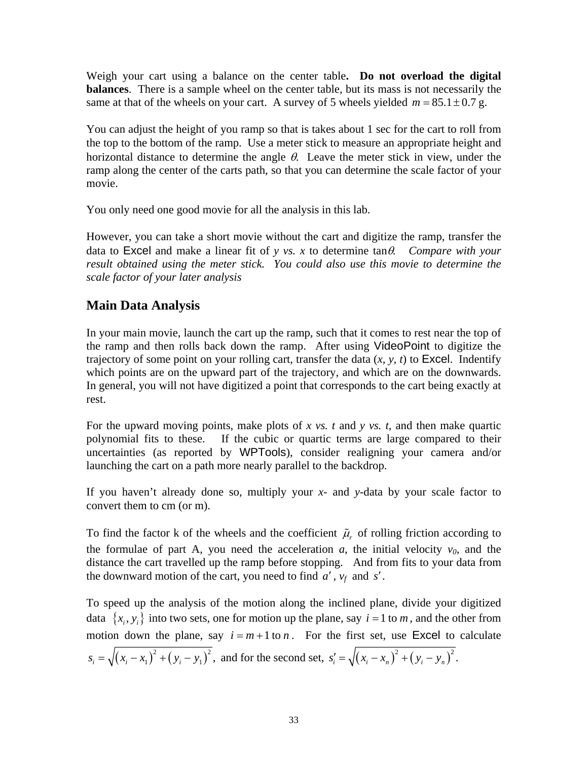Weigh your cart using a balance on the center table**. Do not overload the digital balances**. There is a sample wheel on the center table, but its mass is not necessarily the same at that of the wheels on your cart. A survey of 5 wheels yielded  $m = 85.1 \pm 0.7$  g.

You can adjust the height of you ramp so that is takes about 1 sec for the cart to roll from the top to the bottom of the ramp. Use a meter stick to measure an appropriate height and horizontal distance to determine the angle  $\theta$ . Leave the meter stick in view, under the ramp along the center of the carts path, so that you can determine the scale factor of your movie.

You only need one good movie for all the analysis in this lab.

However, you can take a short movie without the cart and digitize the ramp, transfer the data to Excel and make a linear fit of *y vs. x* to determine tan $\theta$ . Compare with your *result obtained using the meter stick. You could also use this movie to determine the scale factor of your later analysis* 

## **Main Data Analysis**

In your main movie, launch the cart up the ramp, such that it comes to rest near the top of the ramp and then rolls back down the ramp. After using VideoPoint to digitize the trajectory of some point on your rolling cart, transfer the data (*x, y, t*) to Excel. Indentify which points are on the upward part of the trajectory, and which are on the downwards. In general, you will not have digitized a point that corresponds to the cart being exactly at rest.

For the upward moving points, make plots of *x vs. t* and *y vs. t*, and then make quartic polynomial fits to these. If the cubic or quartic terms are large compared to their uncertainties (as reported by WPTools), consider realigning your camera and/or launching the cart on a path more nearly parallel to the backdrop.

If you haven't already done so, multiply your *x*- and *y*-data by your scale factor to convert them to cm (or m).

To find the factor k of the wheels and the coefficient  $\tilde{\mu}$ , of rolling friction according to the formulae of part A, you need the acceleration  $a$ , the initial velocity  $v_0$ , and the distance the cart travelled up the ramp before stopping. And from fits to your data from the downward motion of the cart, you need to find  $a'$ ,  $v_f$  and  $s'$ .

To speed up the analysis of the motion along the inclined plane, divide your digitized data  $\{x_i, y_i\}$  into two sets, one for motion up the plane, say  $i = 1$  to m, and the other from motion down the plane, say  $i = m + 1$  to n. For the first set, use Excel to calculate  $s_i = \sqrt{(x_i - x_1)^2 + (y_i - y_1)^2}$ , and for the second set,  $s'_i = \sqrt{(x_i - x_n)^2 + (y_i - y_n)^2}$ .